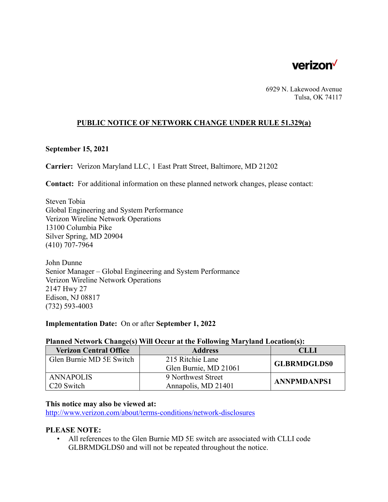

6929 N. Lakewood Avenue Tulsa, OK 74117

## **PUBLIC NOTICE OF NETWORK CHANGE UNDER RULE 51.329(a)**

### **September 15, 2021**

**Carrier:** Verizon Maryland LLC, 1 East Pratt Street, Baltimore, MD 21202

**Contact:** For additional information on these planned network changes, please contact:

Steven Tobia Global Engineering and System Performance Verizon Wireline Network Operations 13100 Columbia Pike Silver Spring, MD 20904 (410) 707-7964

John Dunne Senior Manager – Global Engineering and System Performance Verizon Wireline Network Operations 2147 Hwy 27 Edison, NJ 08817 (732) 593-4003

#### **Implementation Date:** On or after **September 1, 2022**

#### **Planned Network Change(s) Will Occur at the Following Maryland Location(s):**

| <b>Verizon Central Office</b> | <b>Address</b>        | CLLI               |
|-------------------------------|-----------------------|--------------------|
| Glen Burnie MD 5E Switch      | 215 Ritchie Lane      | <b>GLBRMDGLDS0</b> |
|                               | Glen Burnie, MD 21061 |                    |
| <b>ANNAPOLIS</b>              | 9 Northwest Street    | <b>ANNPMDANPS1</b> |
| C <sub>20</sub> Switch        | Annapolis, MD 21401   |                    |

#### **This notice may also be viewed at:**

http://www.verizon.com/about/terms-conditions/network-disclosures

## **PLEASE NOTE:**

• All references to the Glen Burnie MD 5E switch are associated with CLLI code GLBRMDGLDS0 and will not be repeated throughout the notice.